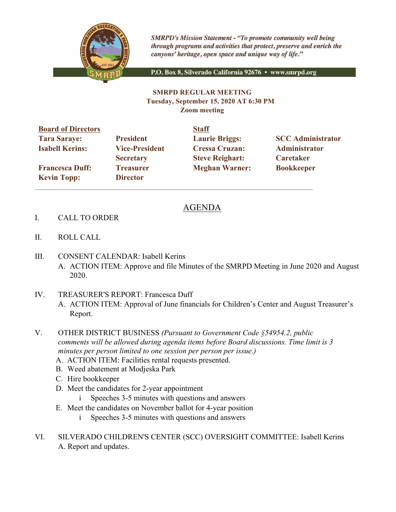

**SMRPD's Mission Statement - "To promote community well being** through programs and activities that protect, preserve and enrich the canyons' heritage, open space and unique way of life."

P.O. Box 8, Silverado California 92676 · www.smrpd.org

## **SMRPD REGULAR MEETING Tuesday, September 15, 2020 AT 6:30 PM Zoom meeting**

| <b>Board of Directors</b> |                       | <b>Staff</b>           |                          |
|---------------------------|-----------------------|------------------------|--------------------------|
| <b>Tara Saraye:</b>       | <b>President</b>      | <b>Laurie Briggs:</b>  | <b>SCC Administrator</b> |
| <b>Isabell Kerins:</b>    | <b>Vice-President</b> | <b>Cressa Cruzan:</b>  | <b>Administrator</b>     |
|                           | <b>Secretary</b>      | <b>Steve Reighart:</b> | <b>Caretaker</b>         |
| <b>Francesca Duff:</b>    | <b>Treasurer</b>      | <b>Meghan Warner:</b>  | <b>Bookkeeper</b>        |
| <b>Kevin Topp:</b>        | <b>Director</b>       |                        |                          |
|                           |                       |                        |                          |

## AGENDA

- I. CALL TO ORDER
- II. ROLL CALL
- III. CONSENT CALENDAR: Isabell Kerins
	- A. ACTION ITEM: Approve and file Minutes of the SMRPD Meeting in June 2020 and August 2020.
- IV. TREASURER'S REPORT: Francesca Duff
	- A. ACTION ITEM: Approval of June financials for Children's Center and August Treasurer's Report.
- V. OTHER DISTRICT BUSINESS *(Pursuant to Government Code §54954.2, public comments will be allowed during agenda items before Board discussions. Time limit is 3 minutes per person limited to one session per person per issue.)*
	- A. ACTION ITEM: Facilities rental requests presented.
	- B. Weed abatement at Modjeska Park
	- C. Hire bookkeeper
	- D. Meet the candidates for 2-year appointment
		- Speeches 3-5 minutes with questions and answers
	- E. Meet the candidates on November ballot for 4-year position
		- i Speeches 3-5 minutes with questions and answers
- VI. SILVERADO CHILDREN'S CENTER (SCC) OVERSIGHT COMMITTEE: Isabell Kerins A. Report and updates.